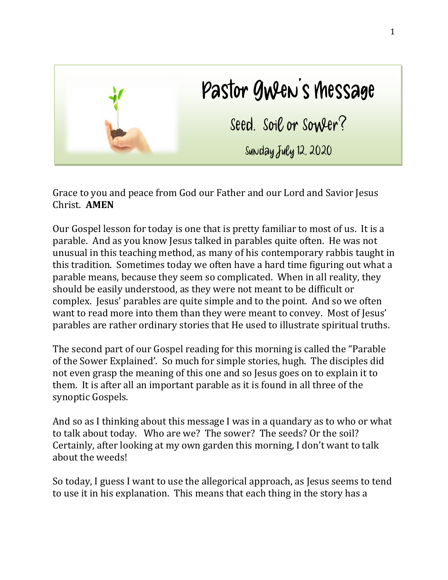

Grace to you and peace from God our Father and our Lord and Savior Jesus Christ. **AMEN**

Our Gospel lesson for today is one that is pretty familiar to most of us. It is a parable. And as you know Jesus talked in parables quite often. He was not unusual in this teaching method, as many of his contemporary rabbis taught in this tradition. Sometimes today we often have a hard time figuring out what a parable means, because they seem so complicated. When in all reality, they should be easily understood, as they were not meant to be difficult or complex. Jesus' parables are quite simple and to the point. And so we often want to read more into them than they were meant to convey. Most of Jesus' parables are rather ordinary stories that He used to illustrate spiritual truths.

The second part of our Gospel reading for this morning is called the "Parable of the Sower Explained'. So much for simple stories, hugh. The disciples did not even grasp the meaning of this one and so Jesus goes on to explain it to them. It is after all an important parable as it is found in all three of the synoptic Gospels.

And so as I thinking about this message I was in a quandary as to who or what to talk about today. Who are we? The sower? The seeds? Or the soil? Certainly, after looking at my own garden this morning, I don't want to talk about the weeds!

So today, I guess I want to use the allegorical approach, as Jesus seems to tend to use it in his explanation. This means that each thing in the story has a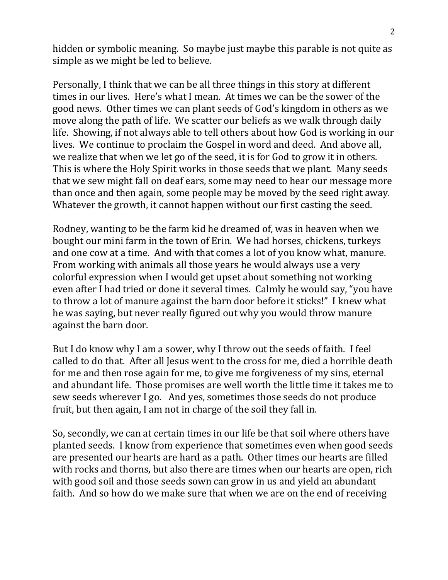hidden or symbolic meaning. So maybe just maybe this parable is not quite as simple as we might be led to believe.

Personally, I think that we can be all three things in this story at different times in our lives. Here's what I mean. At times we can be the sower of the good news. Other times we can plant seeds of God's kingdom in others as we move along the path of life. We scatter our beliefs as we walk through daily life. Showing, if not always able to tell others about how God is working in our lives. We continue to proclaim the Gospel in word and deed. And above all, we realize that when we let go of the seed, it is for God to grow it in others. This is where the Holy Spirit works in those seeds that we plant. Many seeds that we sew might fall on deaf ears, some may need to hear our message more than once and then again, some people may be moved by the seed right away. Whatever the growth, it cannot happen without our first casting the seed.

Rodney, wanting to be the farm kid he dreamed of, was in heaven when we bought our mini farm in the town of Erin. We had horses, chickens, turkeys and one cow at a time. And with that comes a lot of you know what, manure. From working with animals all those years he would always use a very colorful expression when I would get upset about something not working even after I had tried or done it several times. Calmly he would say, "you have to throw a lot of manure against the barn door before it sticks!" I knew what he was saying, but never really figured out why you would throw manure against the barn door.

But I do know why I am a sower, why I throw out the seeds of faith. I feel called to do that. After all Jesus went to the cross for me, died a horrible death for me and then rose again for me, to give me forgiveness of my sins, eternal and abundant life. Those promises are well worth the little time it takes me to sew seeds wherever I go. And yes, sometimes those seeds do not produce fruit, but then again, I am not in charge of the soil they fall in.

So, secondly, we can at certain times in our life be that soil where others have planted seeds. I know from experience that sometimes even when good seeds are presented our hearts are hard as a path. Other times our hearts are filled with rocks and thorns, but also there are times when our hearts are open, rich with good soil and those seeds sown can grow in us and yield an abundant faith. And so how do we make sure that when we are on the end of receiving